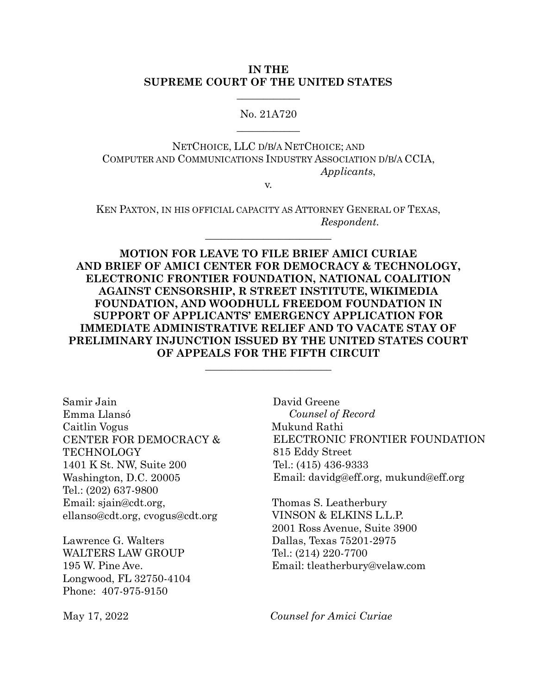#### **IN THE SUPREME COURT OF THE UNITED STATES**

## No. 21A720  $\overline{\phantom{a}}$

 $\overline{\phantom{a}}$ 

NETCHOICE, LLC D/B/A NETCHOICE; AND COMPUTER AND COMMUNICATIONS INDUSTRY ASSOCIATION D/B/A CCIA, *Applicants*,

v.

KEN PAXTON, IN HIS OFFICIAL CAPACITY AS ATTORNEY GENERAL OF TEXAS, *Respondent.*

 $\overline{\mathcal{L}}$  , which is a set of the set of the set of the set of the set of the set of the set of the set of the set of the set of the set of the set of the set of the set of the set of the set of the set of the set of th

**MOTION FOR LEAVE TO FILE BRIEF AMICI CURIAE AND BRIEF OF AMICI CENTER FOR DEMOCRACY & TECHNOLOGY, ELECTRONIC FRONTIER FOUNDATION, NATIONAL COALITION AGAINST CENSORSHIP, R STREET INSTITUTE, WIKIMEDIA FOUNDATION, AND WOODHULL FREEDOM FOUNDATION IN SUPPORT OF APPLICANTS' EMERGENCY APPLICATION FOR IMMEDIATE ADMINISTRATIVE RELIEF AND TO VACATE STAY OF PRELIMINARY INJUNCTION ISSUED BY THE UNITED STATES COURT OF APPEALS FOR THE FIFTH CIRCUIT**

\_\_\_\_\_\_\_\_\_\_\_\_\_\_\_\_\_\_\_\_\_\_\_\_

Samir Jain Emma Llansó Caitlin Vogus CENTER FOR DEMOCRACY & TECHNOLOGY 1401 K St. NW, Suite 200 Washington, D.C. 20005 Tel.: (202) 637-9800 Email: [sjain@cdt.org,](mailto:sjain@cdt.org) [ellanso@cdt.org,](mailto:ellanso@cdt.org) [cvogus@cdt.org](mailto:cvogus@cdt.org)

Lawrence G. Walters WALTERS LAW GROUP 195 W. Pine Ave. Longwood, FL 32750-4104 Phone: 407-975-9150

David Greene *Counsel of Record* Mukund Rathi ELECTRONIC FRONTIER FOUNDATION 815 Eddy Street Tel.: (415) 436-9333 Email: [davidg@eff.org,](mailto:davidg@eff.org) [mukund@eff.org](mailto:mukund@eff.org)

Thomas S. Leatherbury VINSON & ELKINS L.L.P. 2001 Ross Avenue, Suite 3900 Dallas, Texas 75201-2975 Tel.: (214) 220-7700 Email: [tleatherbury@velaw.com](mailto:tleatherbury@velaw.com)

May 17, 2022 *Counsel for Amici Curiae*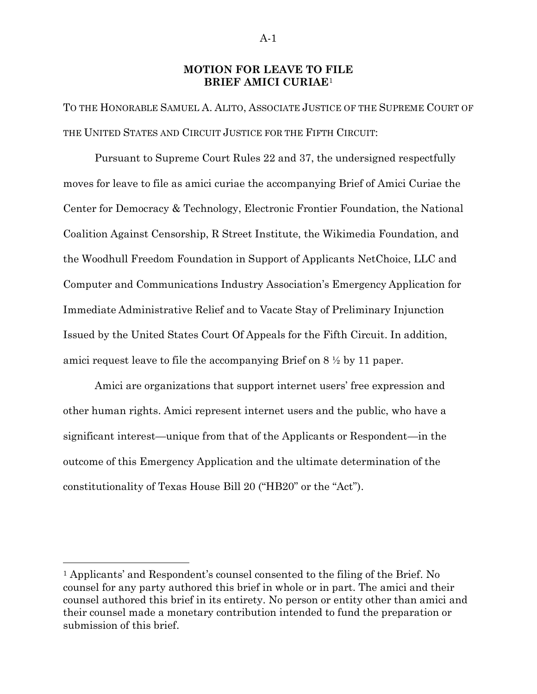#### **MOTION FOR LEAVE TO FILE BRIEF AMICI CURIAE**<sup>1</sup>

TO THE HONORABLE SAMUEL A. ALITO, ASSOCIATE JUSTICE OF THE SUPREME COURT OF THE UNITED STATES AND CIRCUIT JUSTICE FOR THE FIFTH CIRCUIT:

Pursuant to Supreme Court Rules 22 and 37, the undersigned respectfully moves for leave to file as amici curiae the accompanying Brief of Amici Curiae the Center for Democracy & Technology, Electronic Frontier Foundation, the National Coalition Against Censorship, R Street Institute, the Wikimedia Foundation, and the Woodhull Freedom Foundation in Support of Applicants NetChoice, LLC and Computer and Communications Industry Association's Emergency Application for Immediate Administrative Relief and to Vacate Stay of Preliminary Injunction Issued by the United States Court Of Appeals for the Fifth Circuit. In addition, amici request leave to file the accompanying Brief on 8 ½ by 11 paper.

Amici are organizations that support internet users' free expression and other human rights. Amici represent internet users and the public, who have a significant interest—unique from that of the Applicants or Respondent—in the outcome of this Emergency Application and the ultimate determination of the constitutionality of Texas House Bill 20 ("HB20" or the "Act").

<sup>1</sup> Applicants' and Respondent's counsel consented to the filing of the Brief. No counsel for any party authored this brief in whole or in part. The amici and their counsel authored this brief in its entirety. No person or entity other than amici and their counsel made a monetary contribution intended to fund the preparation or submission of this brief.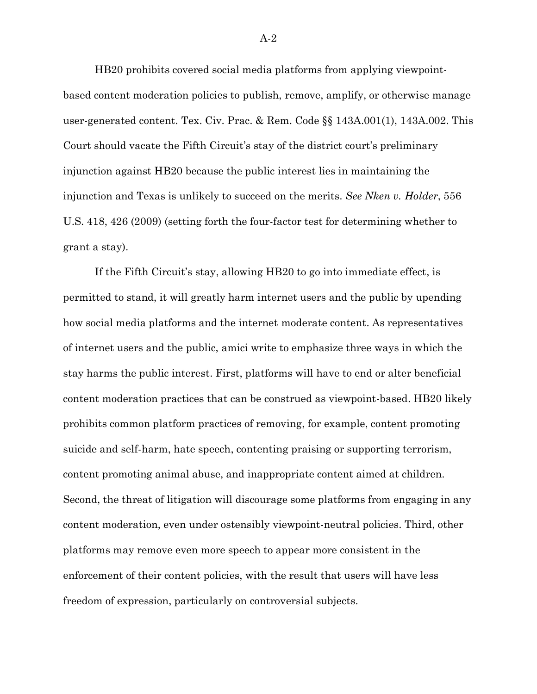HB20 prohibits covered social media platforms from applying viewpointbased content moderation policies to publish, remove, amplify, or otherwise manage user-generated content. Tex. Civ. Prac. & Rem. Code §§ 143A.001(1), 143A.002. This Court should vacate the Fifth Circuit's stay of the district court's preliminary injunction against HB20 because the public interest lies in maintaining the injunction and Texas is unlikely to succeed on the merits. *See Nken v. Holder*, 556 U.S. 418, 426 (2009) (setting forth the four-factor test for determining whether to grant a stay).

If the Fifth Circuit's stay, allowing HB20 to go into immediate effect, is permitted to stand, it will greatly harm internet users and the public by upending how social media platforms and the internet moderate content. As representatives of internet users and the public, amici write to emphasize three ways in which the stay harms the public interest. First, platforms will have to end or alter beneficial content moderation practices that can be construed as viewpoint-based. HB20 likely prohibits common platform practices of removing, for example, content promoting suicide and self-harm, hate speech, contenting praising or supporting terrorism, content promoting animal abuse, and inappropriate content aimed at children. Second, the threat of litigation will discourage some platforms from engaging in any content moderation, even under ostensibly viewpoint-neutral policies. Third, other platforms may remove even more speech to appear more consistent in the enforcement of their content policies, with the result that users will have less freedom of expression, particularly on controversial subjects.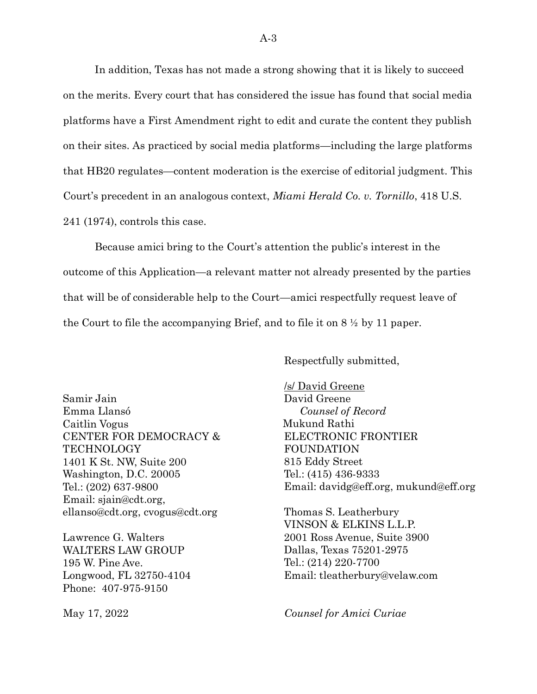In addition, Texas has not made a strong showing that it is likely to succeed on the merits. Every court that has considered the issue has found that social media platforms have a First Amendment right to edit and curate the content they publish on their sites. As practiced by social media platforms—including the large platforms that HB20 regulates—content moderation is the exercise of editorial judgment. This Court's precedent in an analogous context, *Miami Herald Co. v. Tornillo*, 418 U.S. 241 (1974), controls this case.

Because amici bring to the Court's attention the public's interest in the outcome of this Application—a relevant matter not already presented by the parties that will be of considerable help to the Court—amici respectfully request leave of the Court to file the accompanying Brief, and to file it on 8 ½ by 11 paper.

Respectfully submitted,

Samir Jain Emma Llansó Caitlin Vogus CENTER FOR DEMOCRACY & TECHNOLOGY 1401 K St. NW, Suite 200 Washington, D.C. 20005 Tel.: (202) 637-9800 Email: [sjain@cdt.org,](mailto:sjain@cdt.org) [ellanso@cdt.org,](mailto:ellanso@cdt.org) [cvogus@cdt.org](mailto:cvogus@cdt.org)

Lawrence G. Walters WALTERS LAW GROUP 195 W. Pine Ave. Longwood, FL 32750-4104 Phone: 407-975-9150

/s/ David Greene David Greene *Counsel of Record* Mukund Rathi ELECTRONIC FRONTIER FOUNDATION 815 Eddy Street Tel.: (415) 436-9333 Email: [davidg@eff.org,](mailto:davidg@eff.org) [mukund@eff.org](mailto:mukund@eff.org)

Thomas S. Leatherbury VINSON & ELKINS L.L.P. 2001 Ross Avenue, Suite 3900 Dallas, Texas 75201-2975 Tel.: (214) 220-7700 Email: [tleatherbury@velaw.com](mailto:tleatherbury@velaw.com)

May 17, 2022 *Counsel for Amici Curiae*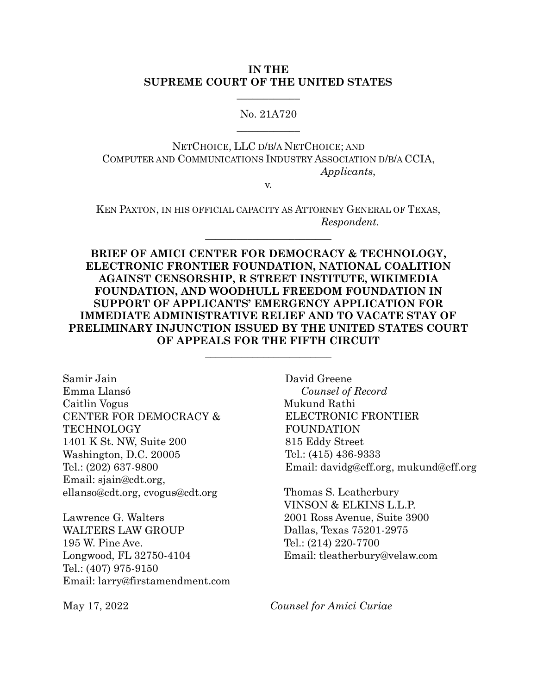#### **IN THE SUPREME COURT OF THE UNITED STATES**

## No. 21A720  $\overline{\phantom{a}}$

 $\overline{\phantom{a}}$ 

NETCHOICE, LLC D/B/A NETCHOICE; AND COMPUTER AND COMMUNICATIONS INDUSTRY ASSOCIATION D/B/A CCIA, *Applicants*,

v.

KEN PAXTON, IN HIS OFFICIAL CAPACITY AS ATTORNEY GENERAL OF TEXAS, *Respondent.*

 $\overline{\mathcal{L}}$  , which is a set of the set of the set of the set of the set of the set of the set of the set of the set of the set of the set of the set of the set of the set of the set of the set of the set of the set of th

**BRIEF OF AMICI CENTER FOR DEMOCRACY & TECHNOLOGY, ELECTRONIC FRONTIER FOUNDATION, NATIONAL COALITION AGAINST CENSORSHIP, R STREET INSTITUTE, WIKIMEDIA FOUNDATION, AND WOODHULL FREEDOM FOUNDATION IN SUPPORT OF APPLICANTS' EMERGENCY APPLICATION FOR IMMEDIATE ADMINISTRATIVE RELIEF AND TO VACATE STAY OF PRELIMINARY INJUNCTION ISSUED BY THE UNITED STATES COURT OF APPEALS FOR THE FIFTH CIRCUIT**

\_\_\_\_\_\_\_\_\_\_\_\_\_\_\_\_\_\_\_\_\_\_\_\_

Samir Jain Emma Llansó Caitlin Vogus CENTER FOR DEMOCRACY & **TECHNOLOGY** 1401 K St. NW, Suite 200 Washington, D.C. 20005 Tel.: (202) 637-9800 Email: [sjain@cdt.org,](mailto:sjain@cdt.org) [ellanso@cdt.org,](mailto:ellanso@cdt.org) [cvogus@cdt.org](mailto:cvogus@cdt.org)

Lawrence G. Walters WALTERS LAW GROUP 195 W. Pine Ave. Longwood, FL 32750-4104 Tel.: (407) 975-9150 Email: larry@firstamendment.com

David Greene *Counsel of Record* Mukund Rathi ELECTRONIC FRONTIER FOUNDATION 815 Eddy Street Tel.: (415) 436-9333 Email: [davidg@eff.org,](mailto:davidg@eff.org) [mukund@eff.org](mailto:mukund@eff.org)

Thomas S. Leatherbury VINSON & ELKINS L.L.P. 2001 Ross Avenue, Suite 3900 Dallas, Texas 75201-2975 Tel.: (214) 220-7700 Email: [tleatherbury@velaw.com](mailto:tleatherbury@velaw.com)

May 17, 2022 *Counsel for Amici Curiae*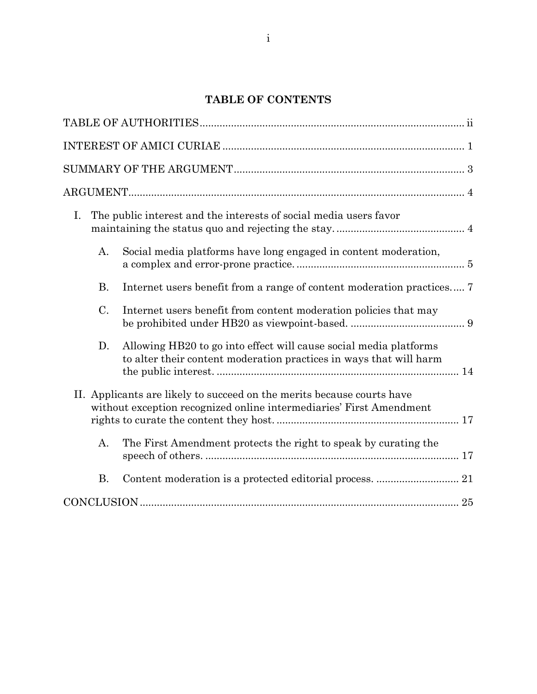## **TABLE OF CONTENTS**

| I. |                | The public interest and the interests of social media users favor                                                                             |
|----|----------------|-----------------------------------------------------------------------------------------------------------------------------------------------|
|    | A <sub>1</sub> | Social media platforms have long engaged in content moderation,                                                                               |
|    | <b>B.</b>      | Internet users benefit from a range of content moderation practices 7                                                                         |
|    | C.             | Internet users benefit from content moderation policies that may                                                                              |
|    | D.             | Allowing HB20 to go into effect will cause social media platforms<br>to alter their content moderation practices in ways that will harm       |
|    |                | II. Applicants are likely to succeed on the merits because courts have<br>without exception recognized online intermediaries' First Amendment |
|    | A.             | The First Amendment protects the right to speak by curating the                                                                               |
|    | <b>B.</b>      |                                                                                                                                               |
|    |                |                                                                                                                                               |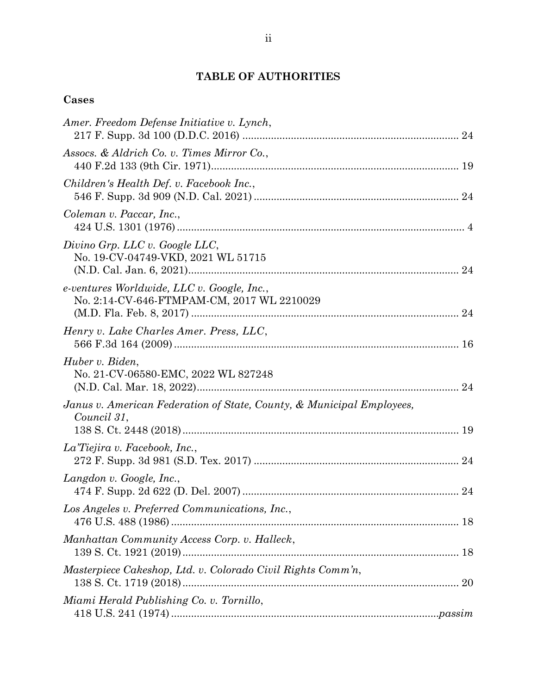# **TABLE OF AUTHORITIES**

# **Cases**

| Amer. Freedom Defense Initiative v. Lynch,                                               |  |
|------------------------------------------------------------------------------------------|--|
| Assocs. & Aldrich Co. v. Times Mirror Co.,                                               |  |
| Children's Health Def. v. Facebook Inc.,                                                 |  |
| Coleman v. Paccar, Inc.,                                                                 |  |
| Divino Grp. LLC v. Google LLC,<br>No. 19-CV-04749-VKD, 2021 WL 51715                     |  |
| e-ventures Worldwide, LLC v. Google, Inc.,<br>No. 2:14-CV-646-FTMPAM-CM, 2017 WL 2210029 |  |
| Henry v. Lake Charles Amer. Press, LLC,                                                  |  |
| Huber v. Biden,<br>No. 21-CV-06580-EMC, 2022 WL 827248                                   |  |
| Janus v. American Federation of State, County, & Municipal Employees,<br>Council 31,     |  |
| La Tiejira v. Facebook, Inc.,                                                            |  |
| Langdon v. Google, Inc.,                                                                 |  |
| Los Angeles v. Preferred Communications, Inc.,                                           |  |
| Manhattan Community Access Corp. v. Halleck,                                             |  |
| Masterpiece Cakeshop, Ltd. v. Colorado Civil Rights Comm'n,<br>138 S. Ct. 1719 (2018)    |  |
| Miami Herald Publishing Co. v. Tornillo,                                                 |  |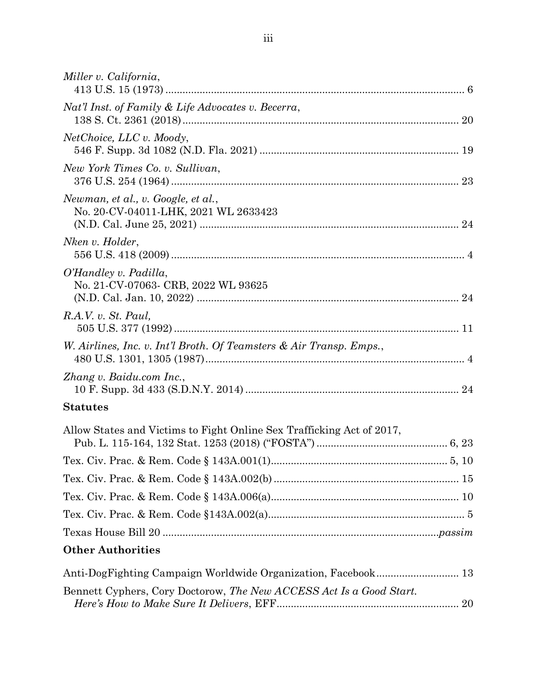| Miller v. California,                                                      |  |
|----------------------------------------------------------------------------|--|
| Nat'l Inst. of Family & Life Advocates v. Becerra,                         |  |
| NetChoice, LLC v. Moody,                                                   |  |
| New York Times Co. v. Sullivan,                                            |  |
| Newman, et al., v. Google, et al.,<br>No. 20-CV-04011-LHK, 2021 WL 2633423 |  |
| Nken v. Holder,                                                            |  |
| O'Handley v. Padilla,<br>No. 21-CV-07063- CRB, 2022 WL 93625               |  |
| R.A.V. v. St. Paul,                                                        |  |
| W. Airlines, Inc. v. Int'l Broth. Of Teamsters & Air Transp. Emps.,        |  |
| Zhang v. Baidu.com Inc.,                                                   |  |
| <b>Statutes</b>                                                            |  |
| Allow States and Victims to Fight Online Sex Trafficking Act of 2017,      |  |
|                                                                            |  |
|                                                                            |  |
|                                                                            |  |
|                                                                            |  |
|                                                                            |  |
| <b>Other Authorities</b>                                                   |  |
| Anti-DogFighting Campaign Worldwide Organization, Facebook 13              |  |
| Bennett Cyphers, Cory Doctorow, The New ACCESS Act Is a Good Start.        |  |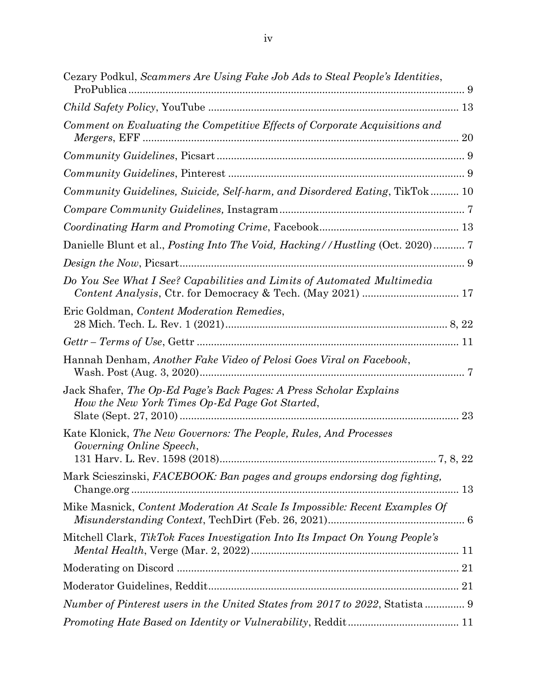| Cezary Podkul, Scammers Are Using Fake Job Ads to Steal People's Identities,                                                               |
|--------------------------------------------------------------------------------------------------------------------------------------------|
|                                                                                                                                            |
| Comment on Evaluating the Competitive Effects of Corporate Acquisitions and                                                                |
|                                                                                                                                            |
|                                                                                                                                            |
| Community Guidelines, Suicide, Self-harm, and Disordered Eating, TikTok 10                                                                 |
|                                                                                                                                            |
|                                                                                                                                            |
|                                                                                                                                            |
|                                                                                                                                            |
| Do You See What I See? Capabilities and Limits of Automated Multimedia                                                                     |
| Eric Goldman, Content Moderation Remedies,                                                                                                 |
|                                                                                                                                            |
| Hannah Denham, Another Fake Video of Pelosi Goes Viral on Facebook,                                                                        |
| Jack Shafer, The Op-Ed Page's Back Pages: A Press Scholar Explains<br>How the New York Times Op-Ed Page Got Started,                       |
| Kate Klonick, The New Governors: The People, Rules, And Processes<br>Governing Online Speech,<br>131 Harv. L. Rev. 1598 (2018)<br>7, 8, 22 |
| Mark Scieszinski, FACEBOOK: Ban pages and groups endorsing dog fighting,                                                                   |
| Mike Masnick, Content Moderation At Scale Is Impossible: Recent Examples Of                                                                |
| Mitchell Clark, TikTok Faces Investigation Into Its Impact On Young People's                                                               |
|                                                                                                                                            |
|                                                                                                                                            |
| Number of Pinterest users in the United States from 2017 to 2022, Statista  9                                                              |
|                                                                                                                                            |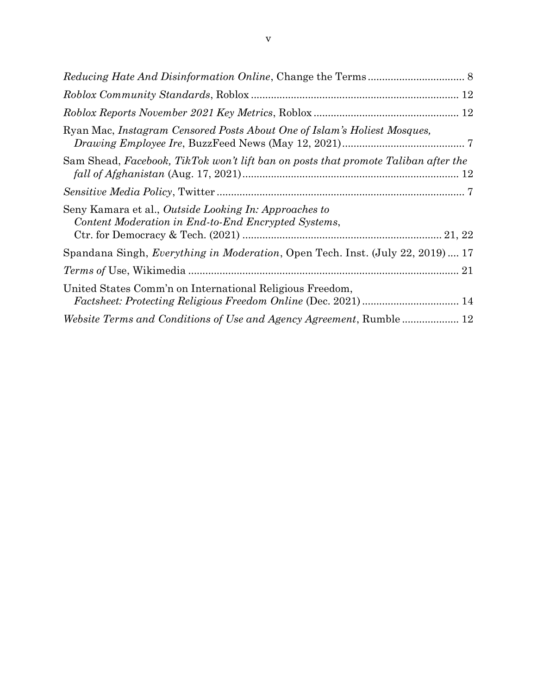| Ryan Mac, Instagram Censored Posts About One of Islam's Holiest Mosques,                                     |  |
|--------------------------------------------------------------------------------------------------------------|--|
| Sam Shead, Facebook, TikTok won't lift ban on posts that promote Taliban after the                           |  |
|                                                                                                              |  |
| Seny Kamara et al., Outside Looking In: Approaches to<br>Content Moderation in End-to-End Encrypted Systems, |  |
| Spandana Singh, <i>Everything in Moderation</i> , Open Tech. Inst. (July 22, 2019) 17                        |  |
|                                                                                                              |  |
| United States Comm'n on International Religious Freedom,                                                     |  |
|                                                                                                              |  |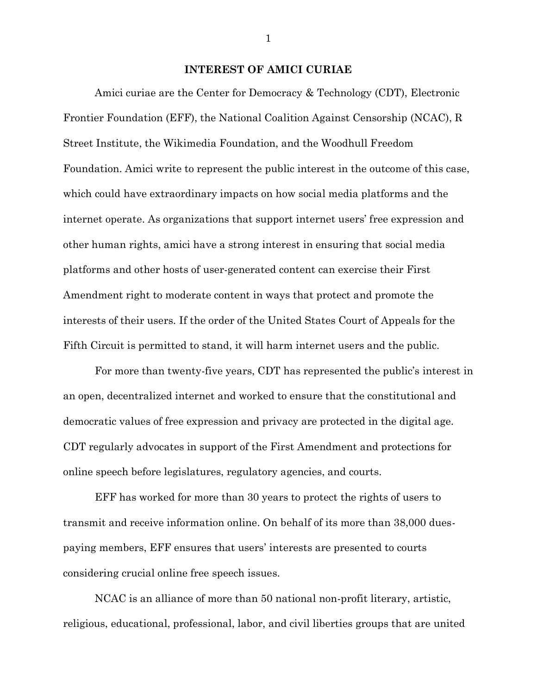#### **INTEREST OF AMICI CURIAE**

Amici curiae are the Center for Democracy & Technology (CDT), Electronic Frontier Foundation (EFF), the National Coalition Against Censorship (NCAC), R Street Institute, the Wikimedia Foundation, and the Woodhull Freedom Foundation. Amici write to represent the public interest in the outcome of this case, which could have extraordinary impacts on how social media platforms and the internet operate. As organizations that support internet users' free expression and other human rights, amici have a strong interest in ensuring that social media platforms and other hosts of user-generated content can exercise their First Amendment right to moderate content in ways that protect and promote the interests of their users. If the order of the United States Court of Appeals for the Fifth Circuit is permitted to stand, it will harm internet users and the public.

For more than twenty-five years, CDT has represented the public's interest in an open, decentralized internet and worked to ensure that the constitutional and democratic values of free expression and privacy are protected in the digital age. CDT regularly advocates in support of the First Amendment and protections for online speech before legislatures, regulatory agencies, and courts.

EFF has worked for more than 30 years to protect the rights of users to transmit and receive information online. On behalf of its more than 38,000 duespaying members, EFF ensures that users' interests are presented to courts considering crucial online free speech issues.

NCAC is an alliance of more than 50 national non-profit literary, artistic, religious, educational, professional, labor, and civil liberties groups that are united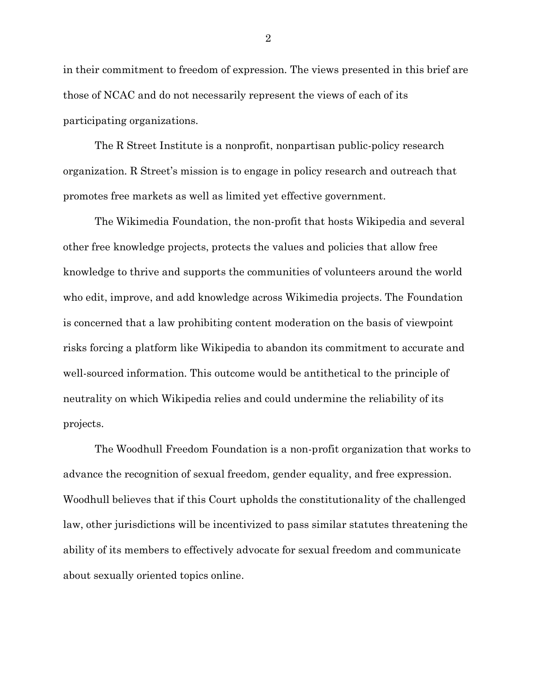in their commitment to freedom of expression. The views presented in this brief are those of NCAC and do not necessarily represent the views of each of its participating organizations.

The R Street Institute is a nonprofit, nonpartisan public-policy research organization. R Street's mission is to engage in policy research and outreach that promotes free markets as well as limited yet effective government.

The Wikimedia Foundation, the non-profit that hosts Wikipedia and several other free knowledge projects, protects the values and policies that allow free knowledge to thrive and supports the communities of volunteers around the world who edit, improve, and add knowledge across Wikimedia projects. The Foundation is concerned that a law prohibiting content moderation on the basis of viewpoint risks forcing a platform like Wikipedia to abandon its commitment to accurate and well-sourced information. This outcome would be antithetical to the principle of neutrality on which Wikipedia relies and could undermine the reliability of its projects.

The Woodhull Freedom Foundation is a non-profit organization that works to advance the recognition of sexual freedom, gender equality, and free expression. Woodhull believes that if this Court upholds the constitutionality of the challenged law, other jurisdictions will be incentivized to pass similar statutes threatening the ability of its members to effectively advocate for sexual freedom and communicate about sexually oriented topics online.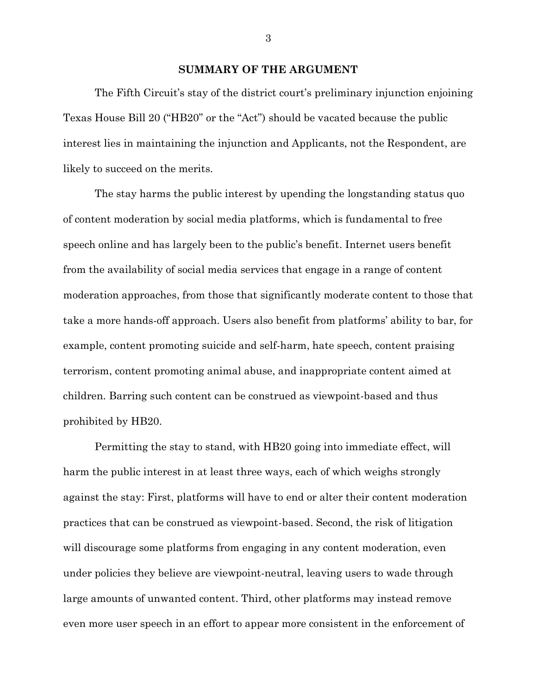#### **SUMMARY OF THE ARGUMENT**

The Fifth Circuit's stay of the district court's preliminary injunction enjoining Texas House Bill 20 ("HB20" or the "Act") should be vacated because the public interest lies in maintaining the injunction and Applicants, not the Respondent, are likely to succeed on the merits.

The stay harms the public interest by upending the longstanding status quo of content moderation by social media platforms, which is fundamental to free speech online and has largely been to the public's benefit. Internet users benefit from the availability of social media services that engage in a range of content moderation approaches, from those that significantly moderate content to those that take a more hands-off approach. Users also benefit from platforms' ability to bar, for example, content promoting suicide and self-harm, hate speech, content praising terrorism, content promoting animal abuse, and inappropriate content aimed at children. Barring such content can be construed as viewpoint-based and thus prohibited by HB20.

Permitting the stay to stand, with HB20 going into immediate effect, will harm the public interest in at least three ways, each of which weighs strongly against the stay: First, platforms will have to end or alter their content moderation practices that can be construed as viewpoint-based. Second, the risk of litigation will discourage some platforms from engaging in any content moderation, even under policies they believe are viewpoint-neutral, leaving users to wade through large amounts of unwanted content. Third, other platforms may instead remove even more user speech in an effort to appear more consistent in the enforcement of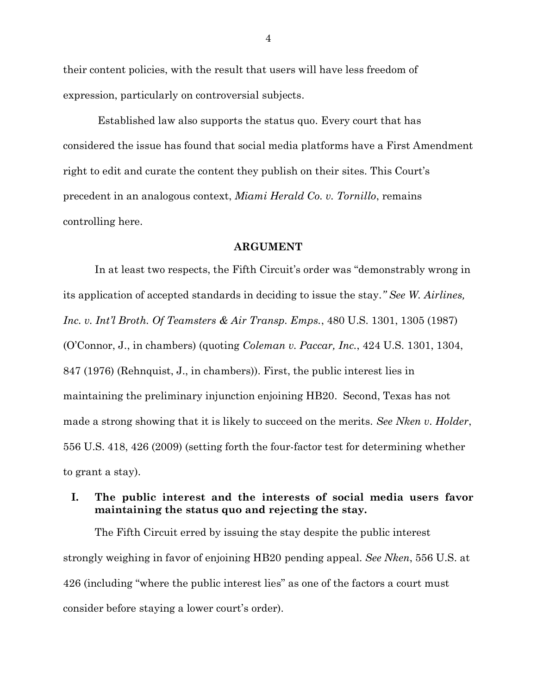their content policies, with the result that users will have less freedom of expression, particularly on controversial subjects.

Established law also supports the status quo. Every court that has considered the issue has found that social media platforms have a First Amendment right to edit and curate the content they publish on their sites. This Court's precedent in an analogous context, *Miami Herald Co. v. Tornillo*, remains controlling here.

#### **ARGUMENT**

In at least two respects, the Fifth Circuit's order was "demonstrably wrong in its application of accepted standards in deciding to issue the stay*." See W. Airlines, Inc. v. Int'l Broth. Of Teamsters & Air Transp. Emps.*, 480 U.S. 1301, 1305 (1987) (O'Connor, J., in chambers) (quoting *Coleman v. Paccar, Inc.*, 424 U.S. 1301, 1304, 847 (1976) (Rehnquist, J., in chambers)). First, the public interest lies in maintaining the preliminary injunction enjoining HB20. Second, Texas has not made a strong showing that it is likely to succeed on the merits. *See Nken v. Holder*, 556 U.S. 418, 426 (2009) (setting forth the four-factor test for determining whether to grant a stay).

## **I. The public interest and the interests of social media users favor maintaining the status quo and rejecting the stay.**

The Fifth Circuit erred by issuing the stay despite the public interest strongly weighing in favor of enjoining HB20 pending appeal. *See Nken*, 556 U.S. at 426 (including "where the public interest lies" as one of the factors a court must consider before staying a lower court's order).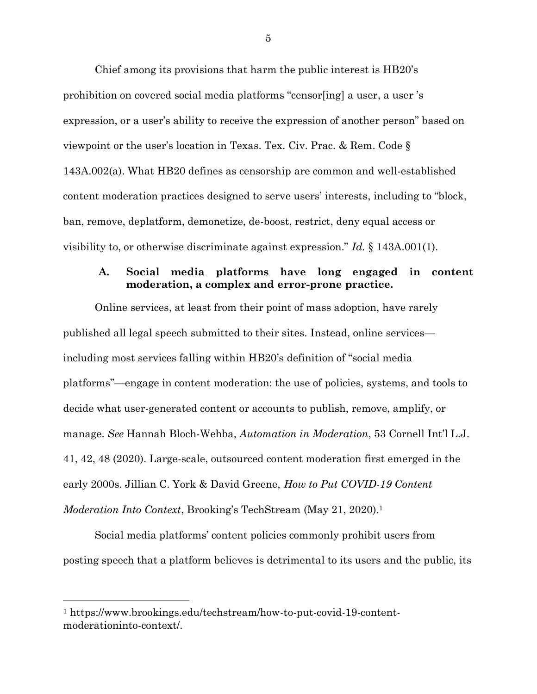Chief among its provisions that harm the public interest is HB20's prohibition on covered social media platforms "censor[ing] a user, a user 's expression, or a user's ability to receive the expression of another person" based on viewpoint or the user's location in Texas. Tex. Civ. Prac. & Rem. Code § 143A.002(a). What HB20 defines as censorship are common and well-established content moderation practices designed to serve users' interests, including to "block, ban, remove, deplatform, demonetize, de-boost, restrict, deny equal access or visibility to, or otherwise discriminate against expression." *Id.* § 143A.001(1).

## **A. Social media platforms have long engaged in content moderation, a complex and error-prone practice.**

Online services, at least from their point of mass adoption, have rarely published all legal speech submitted to their sites. Instead, online services including most services falling within HB20's definition of "social media platforms"—engage in content moderation: the use of policies, systems, and tools to decide what user-generated content or accounts to publish, remove, amplify, or manage. *See* Hannah Bloch-Wehba, *Automation in Moderation*, 53 Cornell Int'l L.J. 41, 42, 48 (2020). Large-scale, outsourced content moderation first emerged in the early 2000s. Jillian C. York & David Greene, *How to Put COVID-19 Content Moderation Into Context*, Brooking's TechStream (May 21, 2020).<sup>1</sup>

Social media platforms' content policies commonly prohibit users from posting speech that a platform believes is detrimental to its users and the public, its

<sup>1</sup> [https://www.brookings.edu/techstream/how-to-put-covid-19-content](https://www.brookings.edu/techstream/how-to-put-covid-19-content-moderationinto-context/)[moderationinto-context/.](https://www.brookings.edu/techstream/how-to-put-covid-19-content-moderationinto-context/)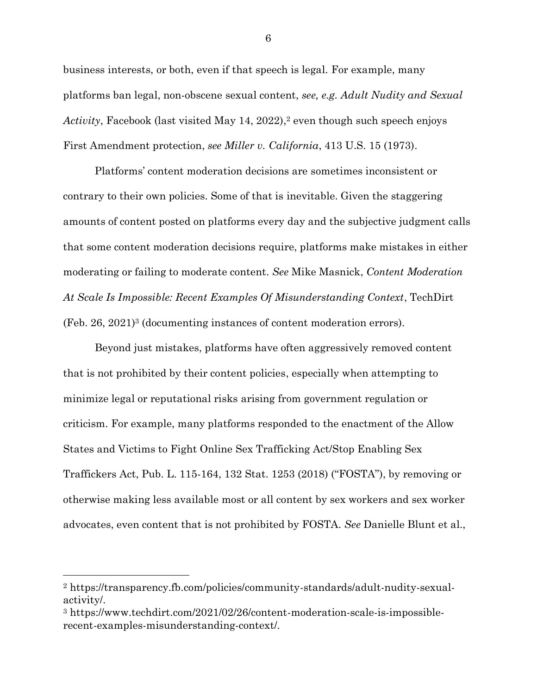business interests, or both, even if that speech is legal. For example, many platforms ban legal, non-obscene sexual content, *see, e.g. Adult Nudity and Sexual Activity*, Facebook (last visited May 14, 2022), <sup>2</sup> even though such speech enjoys First Amendment protection, *see Miller v. California*, 413 U.S. 15 (1973).

Platforms' content moderation decisions are sometimes inconsistent or contrary to their own policies. Some of that is inevitable. Given the staggering amounts of content posted on platforms every day and the subjective judgment calls that some content moderation decisions require, platforms make mistakes in either moderating or failing to moderate content. *See* Mike Masnick, *Content Moderation At Scale Is Impossible: Recent Examples Of Misunderstanding Context*, TechDirt (Feb. 26, 2021)<sup>3</sup> (documenting instances of content moderation errors).

Beyond just mistakes, platforms have often aggressively removed content that is not prohibited by their content policies, especially when attempting to minimize legal or reputational risks arising from government regulation or criticism. For example, many platforms responded to the enactment of the Allow States and Victims to Fight Online Sex Trafficking Act/Stop Enabling Sex Traffickers Act, Pub. L. 115-164, 132 Stat. 1253 (2018) ("FOSTA"), by removing or otherwise making less available most or all content by sex workers and sex worker advocates, even content that is not prohibited by FOSTA. *See* Danielle Blunt et al.,

<sup>2</sup> [https://transparency.fb.com/policies/community-standards/adult-nudity-sexual](https://transparency.fb.com/policies/community-standards/adult-nudity-sexual-activity/)[activity/.](https://transparency.fb.com/policies/community-standards/adult-nudity-sexual-activity/)

<sup>3</sup> [https://www.techdirt.com/2021/02/26/content-moderation-scale-is-impossible](https://www.techdirt.com/2021/02/26/content-moderation-scale-is-impossible-recent-examples-misunderstanding-context/)[recent-examples-misunderstanding-context/.](https://www.techdirt.com/2021/02/26/content-moderation-scale-is-impossible-recent-examples-misunderstanding-context/)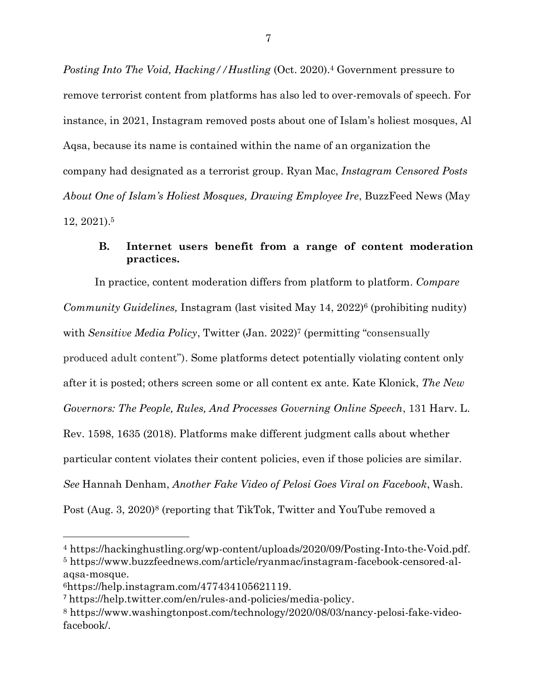*Posting Into The Void, Hacking//Hustling* (Oct. 2020). <sup>4</sup> Government pressure to remove terrorist content from platforms has also led to over-removals of speech. For instance, in 2021, Instagram removed posts about one of Islam's holiest mosques, Al Aqsa, because its name is contained within the name of an organization the company had designated as a terrorist group. Ryan Mac, *Instagram Censored Posts About One of Islam's Holiest Mosques, Drawing Employee Ire*, BuzzFeed News (May 12, 2021). 5

## **B. Internet users benefit from a range of content moderation practices.**

In practice, content moderation differs from platform to platform. *Compare Community Guidelines, Instagram (last visited May 14, 2022)<sup>6</sup> (prohibiting nudity)* with *Sensitive Media Policy*, Twitter (Jan. 2022)<sup>7</sup> (permitting "consensually produced adult content"). Some platforms detect potentially violating content only after it is posted; others screen some or all content ex ante. Kate Klonick, *The New Governors: The People, Rules, And Processes Governing Online Speech*, 131 Harv. L. Rev. 1598, 1635 (2018). Platforms make different judgment calls about whether particular content violates their content policies, even if those policies are similar. *See* Hannah Denham, *Another Fake Video of Pelosi Goes Viral on Facebook*, Wash. Post (Aug. 3, 2020)<sup>8</sup> (reporting that TikTok, Twitter and YouTube removed a

<sup>4</sup> [https://hackinghustling.org/wp-content/uploads/2020/09/Posting-Into-the-Void.pdf.](https://hackinghustling.org/wp-content/uploads/2020/09/Posting-Into-the-Void.pdf) <sup>5</sup> [https://www.buzzfeednews.com/article/ryanmac/instagram-facebook-censored-al](https://www.buzzfeednews.com/article/ryanmac/instagram-facebook-censored-al-aqsa-mosque)[aqsa-mosque.](https://www.buzzfeednews.com/article/ryanmac/instagram-facebook-censored-al-aqsa-mosque)

<sup>6</sup>[https://help.instagram.com/477434105621119.](https://help.instagram.com/477434105621119)

<sup>7</sup> [https://help.twitter.com/en/rules-and-policies/media-policy.](https://help.twitter.com/en/rules-and-policies/media-policy)

<sup>8</sup> [https://www.washingtonpost.com/technology/2020/08/03/nancy-pelosi-fake-video](https://www.washingtonpost.com/technology/2020/08/03/nancy-pelosi-fake-video-facebook/)[facebook/.](https://www.washingtonpost.com/technology/2020/08/03/nancy-pelosi-fake-video-facebook/)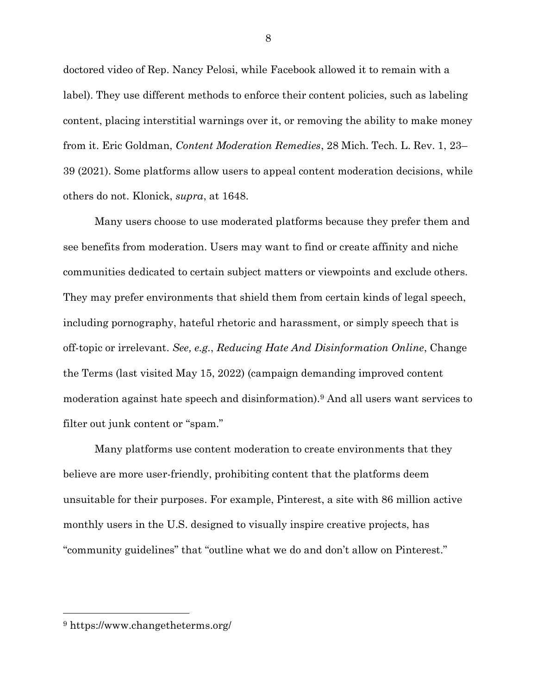doctored video of Rep. Nancy Pelosi, while Facebook allowed it to remain with a label). They use different methods to enforce their content policies, such as labeling content, placing interstitial warnings over it, or removing the ability to make money from it. Eric Goldman, *Content Moderation Remedies*, 28 Mich. Tech. L. Rev. 1, 23– 39 (2021). Some platforms allow users to appeal content moderation decisions, while others do not. Klonick, *supra*, at 1648.

Many users choose to use moderated platforms because they prefer them and see benefits from moderation. Users may want to find or create affinity and niche communities dedicated to certain subject matters or viewpoints and exclude others. They may prefer environments that shield them from certain kinds of legal speech, including pornography, hateful rhetoric and harassment, or simply speech that is off-topic or irrelevant. *See, e.g.*, *Reducing Hate And Disinformation Online*, Change the Terms (last visited May 15, 2022) (campaign demanding improved content moderation against hate speech and disinformation).<sup>9</sup> And all users want services to filter out junk content or "spam."

Many platforms use content moderation to create environments that they believe are more user-friendly, prohibiting content that the platforms deem unsuitable for their purposes. For example, Pinterest, a site with 86 million active monthly users in the U.S. designed to visually inspire creative projects, has "community guidelines" that "outline what we do and don't allow on Pinterest."

<sup>9</sup> https://www.changetheterms.org/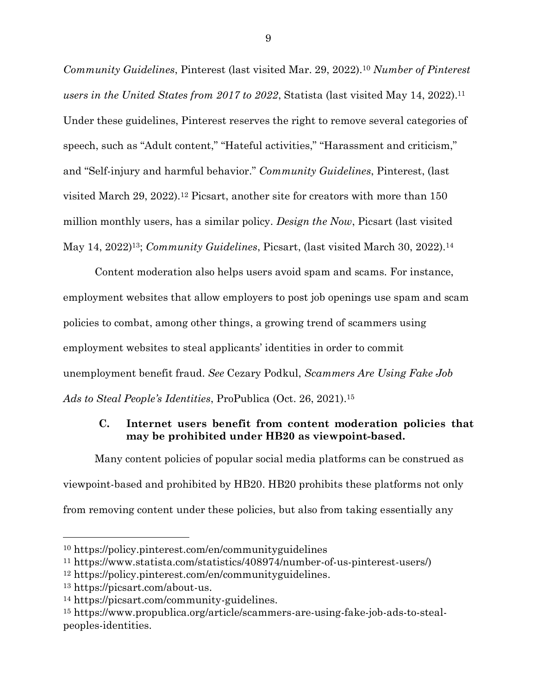*Community Guidelines*, Pinterest (last visited Mar. 29, 2022).<sup>10</sup> *Number of Pinterest users in the United States from 2017 to 2022*, Statista (last visited May 14, 2022). 11 Under these guidelines, Pinterest reserves the right to remove several categories of speech, such as "Adult content," "Hateful activities," "Harassment and criticism," and "Self-injury and harmful behavior." *Community Guidelines*, Pinterest, (last visited March 29, 2022).<sup>12</sup> Picsart, another site for creators with more than 150 million monthly users, has a similar policy. *Design the Now*, Picsart (last visited May 14, 2022)13; *Community Guidelines*, Picsart, (last visited March 30, 2022).<sup>14</sup>

Content moderation also helps users avoid spam and scams. For instance, employment websites that allow employers to post job openings use spam and scam policies to combat, among other things, a growing trend of scammers using employment websites to steal applicants' identities in order to commit unemployment benefit fraud. *See* Cezary Podkul, *Scammers Are Using Fake Job Ads to Steal People's Identities*, ProPublica (Oct. 26, 2021).<sup>15</sup>

## **C. Internet users benefit from content moderation policies that may be prohibited under HB20 as viewpoint-based.**

Many content policies of popular social media platforms can be construed as viewpoint-based and prohibited by HB20. HB20 prohibits these platforms not only from removing content under these policies, but also from taking essentially any

<sup>10</sup> <https://policy.pinterest.com/en/communityguidelines>

<sup>11</sup> https://www.statista.com/statistics/408974/number-of-us-pinterest-users/)

<sup>12</sup> [https://policy.pinterest.com/en/communityguidelines.](https://policy.pinterest.com/en/communityguidelines)

<sup>13</sup> [https://picsart.com/about-us.](https://picsart.com/about-us)

<sup>14</sup> [https://picsart.com/community-guidelines.](https://picsart.com/community-guidelines)

<sup>15</sup> [https://www.propublica.org/article/scammers-are-using-fake-job-ads-to-steal](https://www.propublica.org/article/scammers-are-using-fake-job-ads-to-steal-peoples-identities)[peoples-identities.](https://www.propublica.org/article/scammers-are-using-fake-job-ads-to-steal-peoples-identities)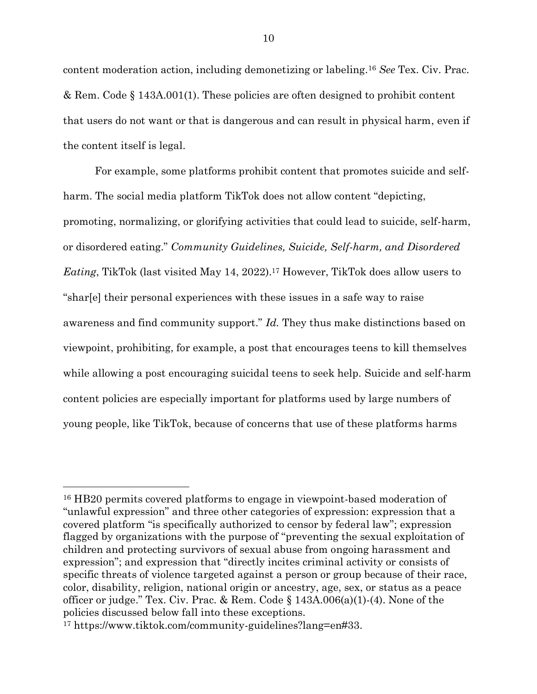content moderation action, including demonetizing or labeling. <sup>16</sup> *See* Tex. Civ. Prac. & Rem. Code § 143A.001(1). These policies are often designed to prohibit content that users do not want or that is dangerous and can result in physical harm, even if the content itself is legal.

For example, some platforms prohibit content that promotes suicide and selfharm. The social media platform TikTok does not allow content "depicting, promoting, normalizing, or glorifying activities that could lead to suicide, self-harm, or disordered eating." *Community Guidelines, Suicide, Self-harm, and Disordered Eating*, TikTok (last visited May 14, 2022).<sup>17</sup> However, TikTok does allow users to "shar[e] their personal experiences with these issues in a safe way to raise awareness and find community support." *Id.* They thus make distinctions based on viewpoint, prohibiting, for example, a post that encourages teens to kill themselves while allowing a post encouraging suicidal teens to seek help. Suicide and self-harm content policies are especially important for platforms used by large numbers of young people, like TikTok, because of concerns that use of these platforms harms

<sup>16</sup> HB20 permits covered platforms to engage in viewpoint-based moderation of "unlawful expression" and three other categories of expression: expression that a covered platform "is specifically authorized to censor by federal law"; expression flagged by organizations with the purpose of "preventing the sexual exploitation of children and protecting survivors of sexual abuse from ongoing harassment and expression"; and expression that "directly incites criminal activity or consists of specific threats of violence targeted against a person or group because of their race, color, disability, religion, national origin or ancestry, age, sex, or status as a peace officer or judge." Tex. Civ. Prac. & Rem. Code  $\S 143A.006(a)(1)-(4)$ . None of the policies discussed below fall into these exceptions.

<sup>17</sup> [https://www.tiktok.com/community-guidelines?lang=en#33.](https://www.tiktok.com/community-guidelines?lang=en#33)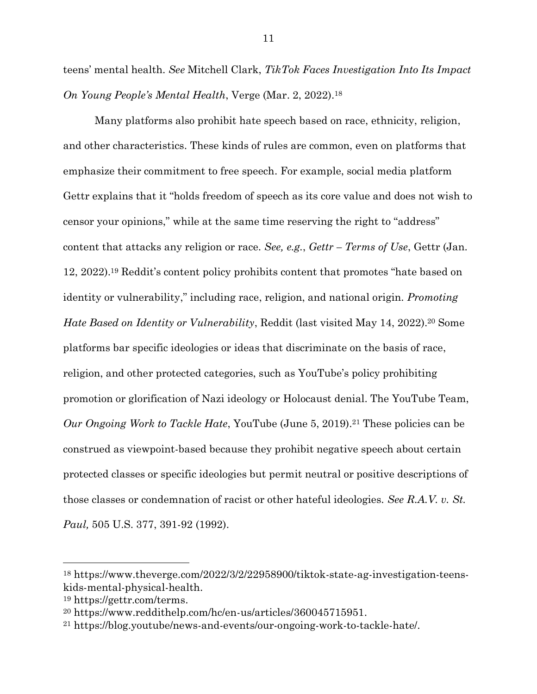teens' mental health. *See* Mitchell Clark, *TikTok Faces Investigation Into Its Impact On Young People's Mental Health*, Verge (Mar. 2, 2022). 18

Many platforms also prohibit hate speech based on race, ethnicity, religion, and other characteristics. These kinds of rules are common, even on platforms that emphasize their commitment to free speech. For example, social media platform Gettr explains that it "holds freedom of speech as its core value and does not wish to censor your opinions," while at the same time reserving the right to "address" content that attacks any religion or race. *See, e.g.*, *Gettr – Terms of Use*, Gettr (Jan. 12, 2022).<sup>19</sup> Reddit's content policy prohibits content that promotes "hate based on identity or vulnerability," including race, religion, and national origin. *Promoting Hate Based on Identity or Vulnerability*, Reddit (last visited May 14, 2022).<sup>20</sup> Some platforms bar specific ideologies or ideas that discriminate on the basis of race, religion, and other protected categories, such as YouTube's policy prohibiting promotion or glorification of Nazi ideology or Holocaust denial. The YouTube Team, *Our Ongoing Work to Tackle Hate*, YouTube (June 5, 2019).<sup>21</sup> These policies can be construed as viewpoint-based because they prohibit negative speech about certain protected classes or specific ideologies but permit neutral or positive descriptions of those classes or condemnation of racist or other hateful ideologies. *See R.A.V. v. St. Paul,* 505 U.S. 377, 391-92 (1992).

<sup>18</sup> [https://www.theverge.com/2022/3/2/22958900/tiktok-state-ag-investigation-teens](https://www.theverge.com/2022/3/2/22958900/tiktok-state-ag-investigation-teens-kids-mental-physical-health)[kids-mental-physical-health.](https://www.theverge.com/2022/3/2/22958900/tiktok-state-ag-investigation-teens-kids-mental-physical-health)

<sup>19</sup> [https://gettr.com/terms.](https://gettr.com/terms)

<sup>20</sup> [https://www.reddithelp.com/hc/en-us/articles/360045715951.](https://www.reddithelp.com/hc/en-us/articles/360045715951)

<sup>21</sup> [https://blog.youtube/news-and-events/our-ongoing-work-to-tackle-hate/.](https://blog.youtube/news-and-events/our-ongoing-work-to-tackle-hate/)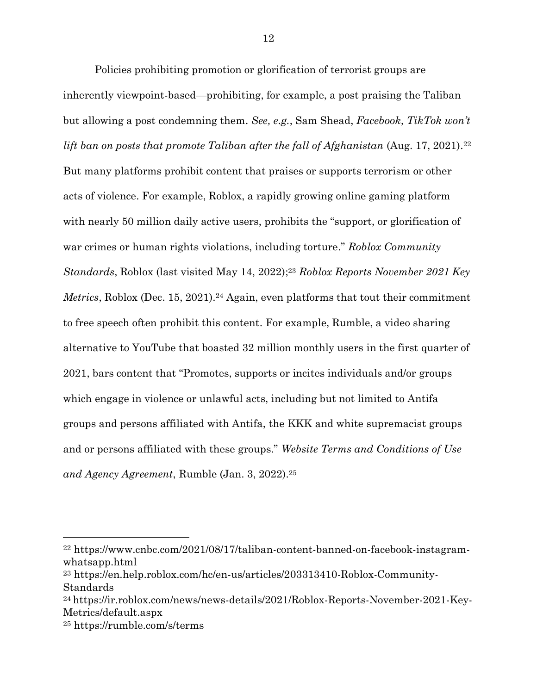Policies prohibiting promotion or glorification of terrorist groups are inherently viewpoint-based—prohibiting, for example, a post praising the Taliban but allowing a post condemning them. *See, e.g.*, Sam Shead, *Facebook, TikTok won't lift ban on posts that promote Taliban after the fall of Afghanistan* (Aug. 17, 2021). 22 But many platforms prohibit content that praises or supports terrorism or other acts of violence. For example, Roblox, a rapidly growing online gaming platform with nearly 50 million daily active users, prohibits the "support, or glorification of war crimes or human rights violations, including torture." *Roblox Community Standards*, Roblox (last visited May 14, 2022); <sup>23</sup> *Roblox Reports November 2021 Key Metrics*, Roblox (Dec. 15, 2021).<sup>24</sup> Again, even platforms that tout their commitment to free speech often prohibit this content. For example, Rumble, a video sharing alternative to YouTube that boasted 32 million monthly users in the first quarter of 2021, bars content that "Promotes, supports or incites individuals and/or groups which engage in violence or unlawful acts, including but not limited to Antifa groups and persons affiliated with Antifa, the KKK and white supremacist groups and or persons affiliated with these groups." *Website Terms and Conditions of Use and Agency Agreement*, Rumble (Jan. 3, 2022).<sup>25</sup>

<sup>22</sup> https://www.cnbc.com/2021/08/17/taliban-content-banned-on-facebook-instagramwhatsapp.html

<sup>23</sup> [https://en.help.roblox.com/hc/en-us/articles/203313410-Roblox-Community-](https://en.help.roblox.com/hc/en-us/articles/203313410-Roblox-Community-Standards)[Standards](https://en.help.roblox.com/hc/en-us/articles/203313410-Roblox-Community-Standards)

<sup>24</sup> [https://ir.roblox.com/news/news-details/2021/Roblox-Reports-November-2021-Key-](https://ir.roblox.com/news/news-details/2021/Roblox-Reports-November-2021-Key-Metrics/default.aspx)[Metrics/default.aspx](https://ir.roblox.com/news/news-details/2021/Roblox-Reports-November-2021-Key-Metrics/default.aspx)

<sup>25</sup> https://rumble.com/s/terms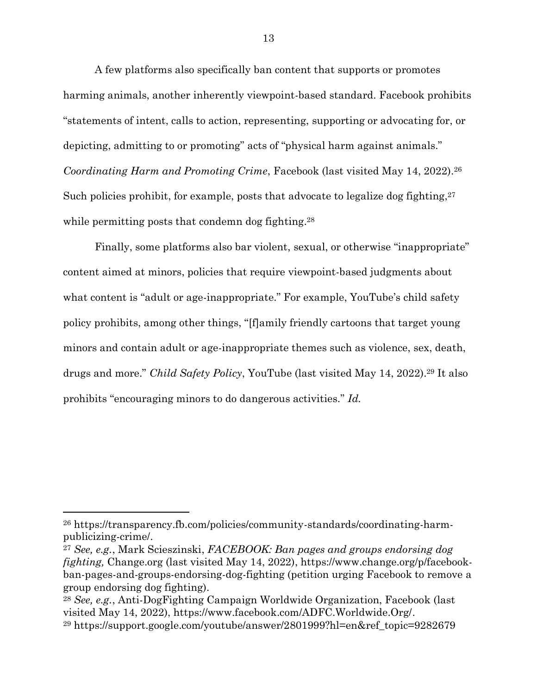A few platforms also specifically ban content that supports or promotes harming animals, another inherently viewpoint-based standard. Facebook prohibits "statements of intent, calls to action, representing, supporting or advocating for, or depicting, admitting to or promoting" acts of "physical harm against animals." *Coordinating Harm and Promoting Crime*, Facebook (last visited May 14, 2022).<sup>26</sup> Such policies prohibit, for example, posts that advocate to legalize dog fighting,  $2^7$ while permitting posts that condemn dog fighting.<sup>28</sup>

Finally, some platforms also bar violent, sexual, or otherwise "inappropriate" content aimed at minors, policies that require viewpoint-based judgments about what content is "adult or age-inappropriate." For example, YouTube's child safety policy prohibits, among other things, "[f]amily friendly cartoons that target young minors and contain adult or age-inappropriate themes such as violence, sex, death, drugs and more." *Child Safety Policy*, YouTube (last visited May 14, 2022).<sup>29</sup> It also prohibits "encouraging minors to do dangerous activities." *Id.*

<sup>26</sup> [https://transparency.fb.com/policies/community-standards/coordinating-harm](https://transparency.fb.com/policies/community-standards/coordinating-harm-publicizing-crime/)[publicizing-crime/.](https://transparency.fb.com/policies/community-standards/coordinating-harm-publicizing-crime/)

<sup>27</sup> *See, e.g.*, Mark Scieszinski, *FACEBOOK: Ban pages and groups endorsing dog fighting,* Change.org (last visited May 14, 2022), https://www.change.org/p/facebookban-pages-and-groups-endorsing-dog-fighting (petition urging Facebook to remove a group endorsing dog fighting).

<sup>28</sup> *See, e.g.*, Anti-DogFighting Campaign Worldwide Organization, Facebook (last visited May 14, 2022), [https://www.facebook.com/ADFC.Worldwide.Org/.](https://www.facebook.com/ADFC.Worldwide.Org/)

<sup>29</sup> [https://support.google.com/youtube/answer/2801999?hl=en&ref\\_topic=9282679](https://support.google.com/youtube/answer/2801999?hl=en&ref_topic=9282679)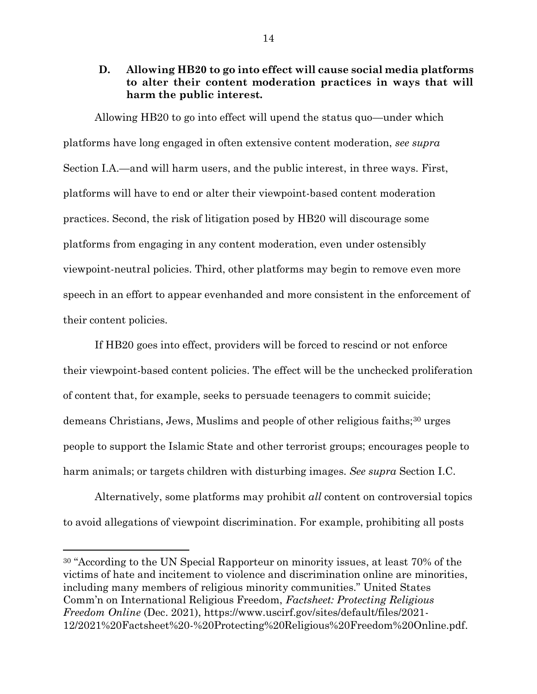## **D. Allowing HB20 to go into effect will cause social media platforms to alter their content moderation practices in ways that will harm the public interest.**

Allowing HB20 to go into effect will upend the status quo—under which platforms have long engaged in often extensive content moderation, *see supra*  Section I.A.—and will harm users, and the public interest, in three ways. First, platforms will have to end or alter their viewpoint-based content moderation practices. Second, the risk of litigation posed by HB20 will discourage some platforms from engaging in any content moderation, even under ostensibly viewpoint-neutral policies. Third, other platforms may begin to remove even more speech in an effort to appear evenhanded and more consistent in the enforcement of their content policies.

If HB20 goes into effect, providers will be forced to rescind or not enforce their viewpoint-based content policies. The effect will be the unchecked proliferation of content that, for example, seeks to persuade teenagers to commit suicide; demeans Christians, Jews, Muslims and people of other religious faiths;<sup>30</sup> urges people to support the Islamic State and other terrorist groups; encourages people to harm animals; or targets children with disturbing images. *See supra* Section I.C.

Alternatively, some platforms may prohibit *all* content on controversial topics to avoid allegations of viewpoint discrimination. For example, prohibiting all posts

<sup>30</sup> "According to the UN Special Rapporteur on minority issues, at least 70% of the victims of hate and incitement to violence and discrimination online are minorities, including many members of religious minority communities." United States Comm'n on International Religious Freedom, *Factsheet: Protecting Religious Freedom Online* (Dec. 2021), [https://www.uscirf.gov/sites/default/files/2021-](https://www.uscirf.gov/sites/default/files/2021-12/2021%20Factsheet%20-%20Protecting%20Religious%20Freedom%20Online.pdf) [12/2021%20Factsheet%20-%20Protecting%20Religious%20Freedom%20Online.pdf.](https://www.uscirf.gov/sites/default/files/2021-12/2021%20Factsheet%20-%20Protecting%20Religious%20Freedom%20Online.pdf)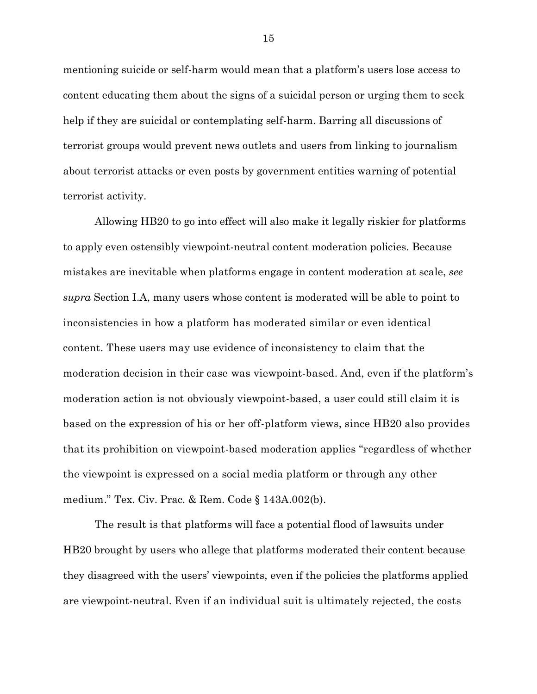mentioning suicide or self-harm would mean that a platform's users lose access to content educating them about the signs of a suicidal person or urging them to seek help if they are suicidal or contemplating self-harm. Barring all discussions of terrorist groups would prevent news outlets and users from linking to journalism about terrorist attacks or even posts by government entities warning of potential terrorist activity.

Allowing HB20 to go into effect will also make it legally riskier for platforms to apply even ostensibly viewpoint-neutral content moderation policies. Because mistakes are inevitable when platforms engage in content moderation at scale, *see supra* Section I.A, many users whose content is moderated will be able to point to inconsistencies in how a platform has moderated similar or even identical content. These users may use evidence of inconsistency to claim that the moderation decision in their case was viewpoint-based. And, even if the platform's moderation action is not obviously viewpoint-based, a user could still claim it is based on the expression of his or her off-platform views, since HB20 also provides that its prohibition on viewpoint-based moderation applies "regardless of whether the viewpoint is expressed on a social media platform or through any other medium." Tex. Civ. Prac. & Rem. Code § 143A.002(b).

The result is that platforms will face a potential flood of lawsuits under HB20 brought by users who allege that platforms moderated their content because they disagreed with the users' viewpoints, even if the policies the platforms applied are viewpoint-neutral. Even if an individual suit is ultimately rejected, the costs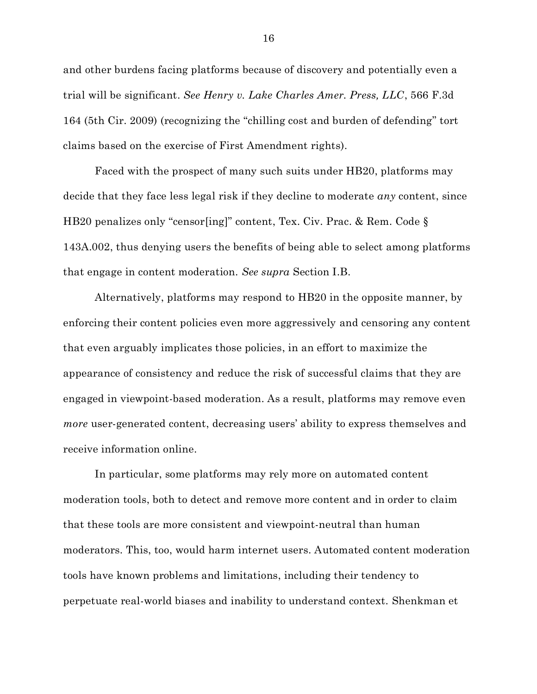and other burdens facing platforms because of discovery and potentially even a trial will be significant. *See Henry v. Lake Charles Amer. Press, LLC*, 566 F.3d 164 (5th Cir. 2009) (recognizing the "chilling cost and burden of defending" tort claims based on the exercise of First Amendment rights).

Faced with the prospect of many such suits under HB20, platforms may decide that they face less legal risk if they decline to moderate *any* content, since HB20 penalizes only "censor[ing]" content, Tex. Civ. Prac. & Rem. Code § 143A.002, thus denying users the benefits of being able to select among platforms that engage in content moderation. *See supra* Section I.B.

Alternatively, platforms may respond to HB20 in the opposite manner, by enforcing their content policies even more aggressively and censoring any content that even arguably implicates those policies, in an effort to maximize the appearance of consistency and reduce the risk of successful claims that they are engaged in viewpoint-based moderation. As a result, platforms may remove even *more* user-generated content, decreasing users' ability to express themselves and receive information online.

In particular, some platforms may rely more on automated content moderation tools, both to detect and remove more content and in order to claim that these tools are more consistent and viewpoint-neutral than human moderators. This, too, would harm internet users. Automated content moderation tools have known problems and limitations, including their tendency to perpetuate real-world biases and inability to understand context. Shenkman et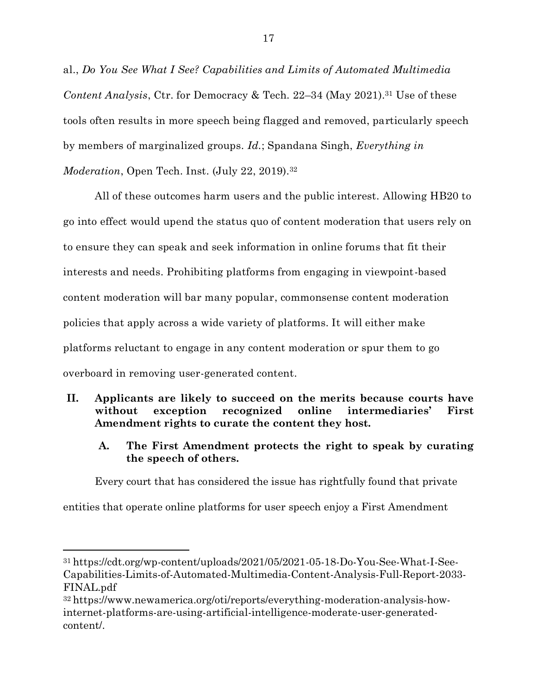al., *Do You See What I See? Capabilities and Limits of Automated Multimedia Content Analysis*, Ctr. for Democracy & Tech. 22–34 (May 2021). <sup>31</sup> Use of these tools often results in more speech being flagged and removed, particularly speech by members of marginalized groups. *Id.*; Spandana Singh, *Everything in Moderation*, Open Tech. Inst. (July 22, 2019). 32

All of these outcomes harm users and the public interest. Allowing HB20 to go into effect would upend the status quo of content moderation that users rely on to ensure they can speak and seek information in online forums that fit their interests and needs. Prohibiting platforms from engaging in viewpoint-based content moderation will bar many popular, commonsense content moderation policies that apply across a wide variety of platforms. It will either make platforms reluctant to engage in any content moderation or spur them to go overboard in removing user-generated content.

## **II. Applicants are likely to succeed on the merits because courts have without exception recognized online intermediaries' First Amendment rights to curate the content they host.**

**A. The First Amendment protects the right to speak by curating the speech of others.**

Every court that has considered the issue has rightfully found that private

entities that operate online platforms for user speech enjoy a First Amendment

<sup>31</sup> https://cdt.org/wp-content/uploads/2021/05/2021-05-18-Do-You-See-What-I-See-Capabilities-Limits-of-Automated-Multimedia-Content-Analysis-Full-Report-2033- FINAL.pdf

<sup>32</sup> [https://www.newamerica.org/oti/reports/everything-moderation-analysis-how](https://www.newamerica.org/oti/reports/everything-moderation-analysis-how-internet-platforms-are-using-artificial-intelligence-moderate-user-generated-content/)[internet-platforms-are-using-artificial-intelligence-moderate-user-generated](https://www.newamerica.org/oti/reports/everything-moderation-analysis-how-internet-platforms-are-using-artificial-intelligence-moderate-user-generated-content/)[content/.](https://www.newamerica.org/oti/reports/everything-moderation-analysis-how-internet-platforms-are-using-artificial-intelligence-moderate-user-generated-content/)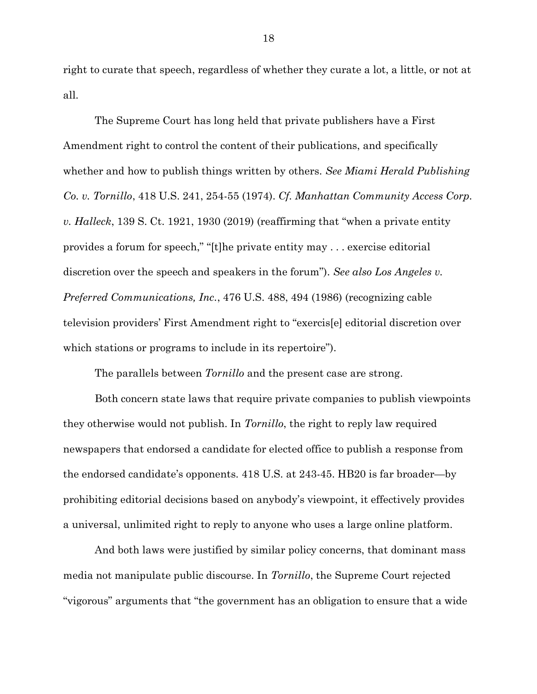right to curate that speech, regardless of whether they curate a lot, a little, or not at all.

The Supreme Court has long held that private publishers have a First Amendment right to control the content of their publications, and specifically whether and how to publish things written by others. *See Miami Herald Publishing Co. v. Tornillo*, 418 U.S. 241, 254-55 (1974). *Cf. Manhattan Community Access Corp. v. Halleck*, 139 S. Ct. 1921, 1930 (2019) (reaffirming that "when a private entity provides a forum for speech," "[t]he private entity may . . . exercise editorial discretion over the speech and speakers in the forum"). *See also Los Angeles v. Preferred Communications, Inc.*, 476 U.S. 488, 494 (1986) (recognizing cable television providers' First Amendment right to "exercis[e] editorial discretion over which stations or programs to include in its repertoire".

The parallels between *Tornillo* and the present case are strong.

Both concern state laws that require private companies to publish viewpoints they otherwise would not publish. In *Tornillo*, the right to reply law required newspapers that endorsed a candidate for elected office to publish a response from the endorsed candidate's opponents. 418 U.S. at 243-45. HB20 is far broader—by prohibiting editorial decisions based on anybody's viewpoint, it effectively provides a universal, unlimited right to reply to anyone who uses a large online platform.

And both laws were justified by similar policy concerns, that dominant mass media not manipulate public discourse. In *Tornillo*, the Supreme Court rejected "vigorous" arguments that "the government has an obligation to ensure that a wide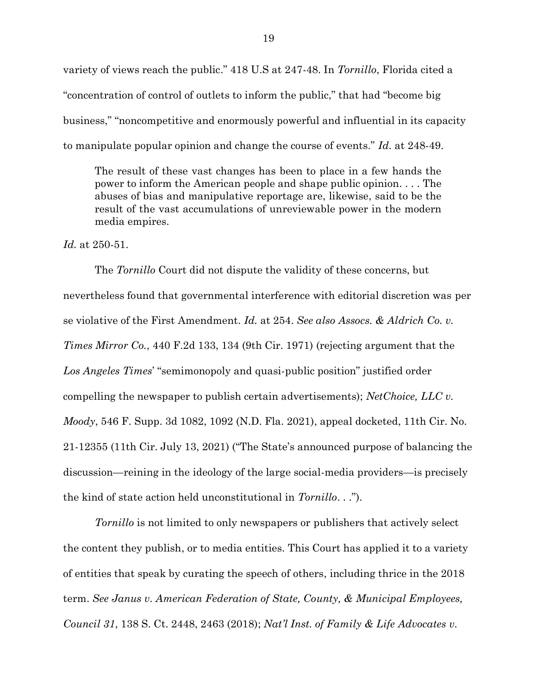variety of views reach the public." 418 U.S at 247-48. In *Tornillo*, Florida cited a "concentration of control of outlets to inform the public," that had "become big business," "noncompetitive and enormously powerful and influential in its capacity to manipulate popular opinion and change the course of events." *Id.* at 248-49.

The result of these vast changes has been to place in a few hands the power to inform the American people and shape public opinion. . . . The abuses of bias and manipulative reportage are, likewise, said to be the result of the vast accumulations of unreviewable power in the modern media empires.

*Id.* at 250-51.

The *Tornillo* Court did not dispute the validity of these concerns, but nevertheless found that governmental interference with editorial discretion was per se violative of the First Amendment. *Id.* at 254. *See also Assocs. & Aldrich Co. v. Times Mirror Co.*, 440 F.2d 133, 134 (9th Cir. 1971) (rejecting argument that the *Los Angeles Times*' "semimonopoly and quasi-public position" justified order compelling the newspaper to publish certain advertisements); *NetChoice, LLC v. Moody*, 546 F. Supp. 3d 1082, 1092 (N.D. Fla. 2021), appeal docketed, 11th Cir. No. 21-12355 (11th Cir. July 13, 2021) ("The State's announced purpose of balancing the discussion—reining in the ideology of the large social-media providers—is precisely the kind of state action held unconstitutional in *Tornillo*. . .").

*Tornillo* is not limited to only newspapers or publishers that actively select the content they publish, or to media entities. This Court has applied it to a variety of entities that speak by curating the speech of others, including thrice in the 2018 term. *See Janus v. American Federation of State, County, & Municipal Employees, Council 31*, 138 S. Ct. 2448, 2463 (2018); *Nat'l Inst. of Family & Life Advocates v.*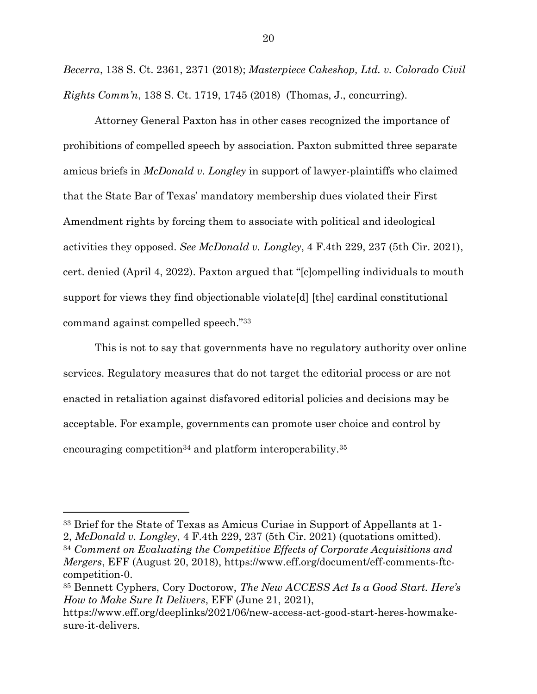*Becerra*, 138 S. Ct. 2361, 2371 (2018); *Masterpiece Cakeshop, Ltd. v. Colorado Civil Rights Comm'n*, 138 S. Ct. 1719, 1745 (2018) (Thomas, J., concurring).

Attorney General Paxton has in other cases recognized the importance of prohibitions of compelled speech by association. Paxton submitted three separate amicus briefs in *McDonald v. Longley* in support of lawyer-plaintiffs who claimed that the State Bar of Texas' mandatory membership dues violated their First Amendment rights by forcing them to associate with political and ideological activities they opposed. *See McDonald v. Longley*, 4 F.4th 229, 237 (5th Cir. 2021), cert. denied (April 4, 2022). Paxton argued that "[c]ompelling individuals to mouth support for views they find objectionable violate[d] [the] cardinal constitutional command against compelled speech."<sup>33</sup>

This is not to say that governments have no regulatory authority over online services. Regulatory measures that do not target the editorial process or are not enacted in retaliation against disfavored editorial policies and decisions may be acceptable. For example, governments can promote user choice and control by encouraging competition<sup>34</sup> and platform interoperability.<sup>35</sup>

<sup>33</sup> Brief for the State of Texas as Amicus Curiae in Support of Appellants at 1-

<sup>2,</sup> *McDonald v. Longley*, 4 F.4th 229, 237 (5th Cir. 2021) (quotations omitted).

<sup>34</sup> *Comment on Evaluating the Competitive Effects of Corporate Acquisitions and Mergers*, EFF (August 20, 2018), https://www.eff.org/document/eff-comments-ftccompetition-0.

<sup>35</sup> Bennett Cyphers, Cory Doctorow, *The New ACCESS Act Is a Good Start. Here's How to Make Sure It Delivers*, EFF (June 21, 2021),

https://www.eff.org/deeplinks/2021/06/new-access-act-good-start-heres-howmakesure-it-delivers.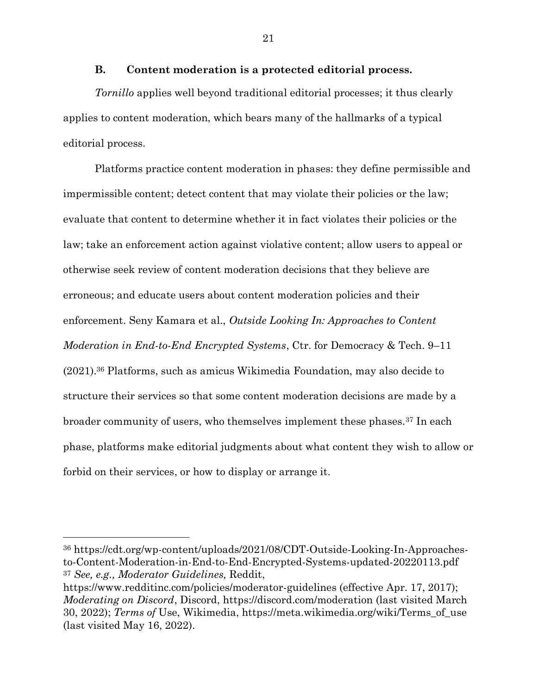#### **B. Content moderation is a protected editorial process.**

*Tornillo* applies well beyond traditional editorial processes; it thus clearly applies to content moderation, which bears many of the hallmarks of a typical editorial process.

Platforms practice content moderation in phases: they define permissible and impermissible content; detect content that may violate their policies or the law; evaluate that content to determine whether it in fact violates their policies or the law; take an enforcement action against violative content; allow users to appeal or otherwise seek review of content moderation decisions that they believe are erroneous; and educate users about content moderation policies and their enforcement. Seny Kamara et al., *Outside Looking In: Approaches to Content Moderation in End-to-End Encrypted Systems*, Ctr. for Democracy & Tech. 9–11 (2021). <sup>36</sup> Platforms, such as amicus Wikimedia Foundation, may also decide to structure their services so that some content moderation decisions are made by a broader community of users, who themselves implement these phases.<sup>37</sup> In each phase, platforms make editorial judgments about what content they wish to allow or forbid on their services, or how to display or arrange it.

<sup>36</sup> https://cdt.org/wp-content/uploads/2021/08/CDT-Outside-Looking-In-Approachesto-Content-Moderation-in-End-to-End-Encrypted-Systems-updated-20220113.pdf <sup>37</sup> *See, e.g., Moderator Guidelines,* Reddit,

<https://www.redditinc.com/policies/moderator-guidelines> (effective Apr. 17, 2017); *Moderating on Discord*, Discord,<https://discord.com/moderation> (last visited March 30, 2022); *Terms of* Use, Wikimedia, https://meta.wikimedia.org/wiki/Terms\_of\_use (last visited May 16, 2022).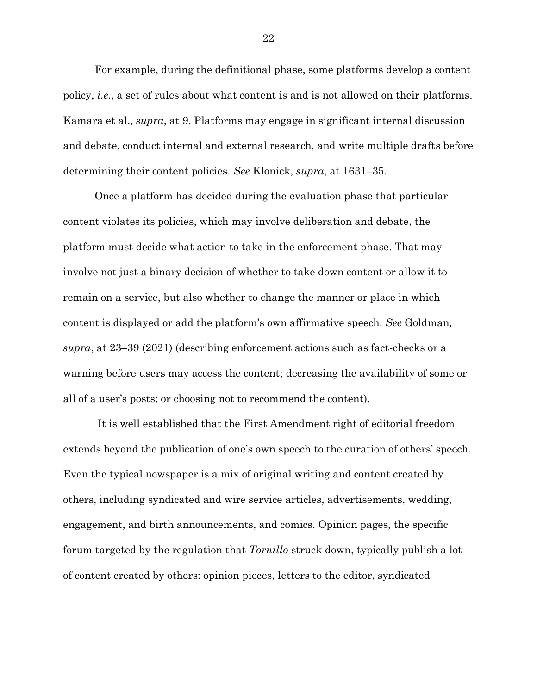For example, during the definitional phase, some platforms develop a content policy, *i.e.*, a set of rules about what content is and is not allowed on their platforms. Kamara et al., *supra*, at 9. Platforms may engage in significant internal discussion and debate, conduct internal and external research, and write multiple drafts before determining their content policies. *See* Klonick, *supra*, at 1631–35.

Once a platform has decided during the evaluation phase that particular content violates its policies, which may involve deliberation and debate, the platform must decide what action to take in the enforcement phase. That may involve not just a binary decision of whether to take down content or allow it to remain on a service, but also whether to change the manner or place in which content is displayed or add the platform's own affirmative speech. *See* Goldman*, supra*, at 23–39 (2021) (describing enforcement actions such as fact-checks or a warning before users may access the content; decreasing the availability of some or all of a user's posts; or choosing not to recommend the content).

It is well established that the First Amendment right of editorial freedom extends beyond the publication of one's own speech to the curation of others' speech. Even the typical newspaper is a mix of original writing and content created by others, including syndicated and wire service articles, advertisements, wedding, engagement, and birth announcements, and comics. Opinion pages, the specific forum targeted by the regulation that *Tornillo* struck down, typically publish a lot of content created by others: opinion pieces, letters to the editor, syndicated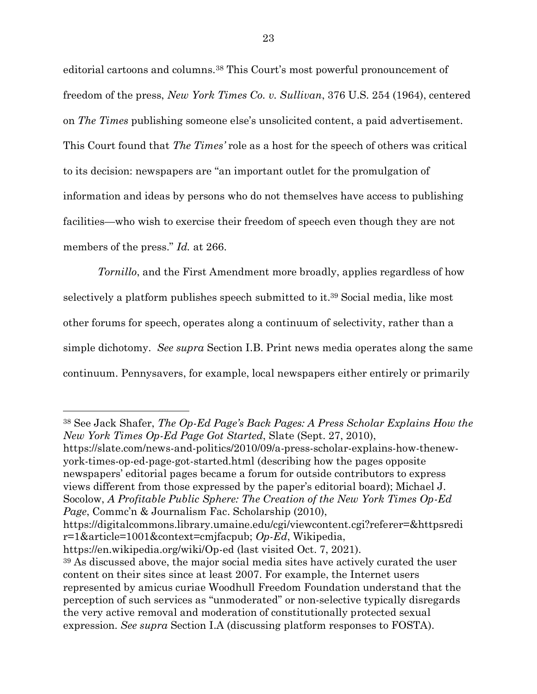editorial cartoons and columns.<sup>38</sup> This Court's most powerful pronouncement of freedom of the press, *New York Times Co. v. Sullivan*, 376 U.S. 254 (1964), centered on *The Times* publishing someone else's unsolicited content, a paid advertisement. This Court found that *The Times'* role as a host for the speech of others was critical to its decision: newspapers are "an important outlet for the promulgation of information and ideas by persons who do not themselves have access to publishing facilities—who wish to exercise their freedom of speech even though they are not members of the press." *Id.* at 266.

*Tornillo*, and the First Amendment more broadly, applies regardless of how selectively a platform publishes speech submitted to it.<sup>39</sup> Social media, like most other forums for speech, operates along a continuum of selectivity, rather than a simple dichotomy. *See supra* Section I.B. Print news media operates along the same continuum. Pennysavers, for example, local newspapers either entirely or primarily

https://slate.com/news-and-politics/2010/09/a-press-scholar-explains-how-thenewyork-times-op-ed-page-got-started.html (describing how the pages opposite newspapers' editorial pages became a forum for outside contributors to express views different from those expressed by the paper's editorial board); Michael J. Socolow, *A Profitable Public Sphere: The Creation of the New York Times Op-Ed Page*, Commc'n & Journalism Fac. Scholarship (2010),

https://en.wikipedia.org/wiki/Op-ed (last visited Oct. 7, 2021).

<sup>38</sup> See Jack Shafer, *The Op-Ed Page's Back Pages: A Press Scholar Explains How the New York Times Op-Ed Page Got Started*, Slate (Sept. 27, 2010),

https://digitalcommons.library.umaine.edu/cgi/viewcontent.cgi?referer=&httpsredi r=1&article=1001&context=cmjfacpub; *Op-Ed*, Wikipedia,

<sup>39</sup> As discussed above, the major social media sites have actively curated the user content on their sites since at least 2007. For example, the Internet users represented by amicus curiae Woodhull Freedom Foundation understand that the perception of such services as "unmoderated" or non-selective typically disregards the very active removal and moderation of constitutionally protected sexual expression. *See supra* Section I.A (discussing platform responses to FOSTA).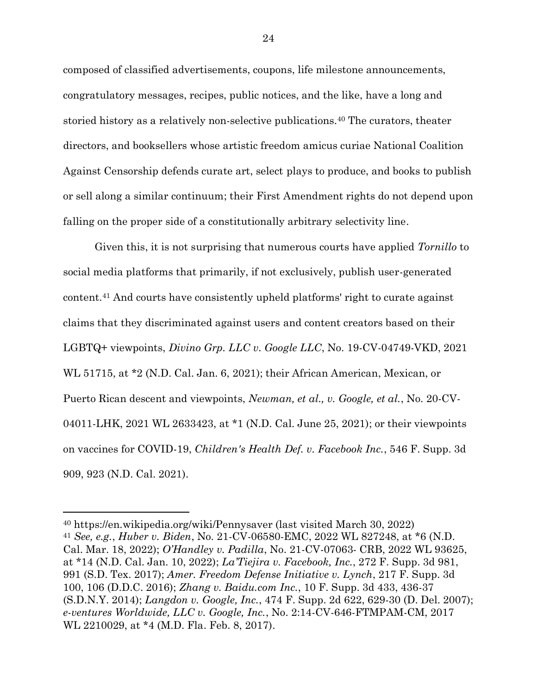composed of classified advertisements, coupons, life milestone announcements, congratulatory messages, recipes, public notices, and the like, have a long and storied history as a relatively non-selective publications. <sup>40</sup> The curators, theater directors, and booksellers whose artistic freedom amicus curiae National Coalition Against Censorship defends curate art, select plays to produce, and books to publish or sell along a similar continuum; their First Amendment rights do not depend upon falling on the proper side of a constitutionally arbitrary selectivity line.

Given this, it is not surprising that numerous courts have applied *Tornillo* to social media platforms that primarily, if not exclusively, publish user-generated content.<sup>41</sup> And courts have consistently upheld platforms' right to curate against claims that they discriminated against users and content creators based on their LGBTQ+ viewpoints, *Divino Grp. LLC v. Google LLC*, No. 19-CV-04749-VKD, 2021 WL 51715, at \*2 (N.D. Cal. Jan. 6, 2021); their African American, Mexican, or Puerto Rican descent and viewpoints, *Newman, et al., v. Google, et al.*, No. 20-CV-04011-LHK, 2021 WL 2633423, at \*1 (N.D. Cal. June 25, 2021); or their viewpoints on vaccines for COVID-19, *Children's Health Def. v. Facebook Inc.*, 546 F. Supp. 3d 909, 923 (N.D. Cal. 2021).

<sup>40</sup> https://en.wikipedia.org/wiki/Pennysaver (last visited March 30, 2022) <sup>41</sup> *See, e.g.*, *Huber v. Biden*, No. 21-CV-06580-EMC, 2022 WL 827248, at \*6 (N.D. Cal. Mar. 18, 2022); *O'Handley v. Padilla*, No. 21-CV-07063- CRB, 2022 WL 93625, at \*14 (N.D. Cal. Jan. 10, 2022); *La'Tiejira v. Facebook, Inc.*, 272 F. Supp. 3d 981, 991 (S.D. Tex. 2017); *Amer. Freedom Defense Initiative v. Lynch*, 217 F. Supp. 3d 100, 106 (D.D.C. 2016); *Zhang v. Baidu.com Inc.*, 10 F. Supp. 3d 433, 436-37 (S.D.N.Y. 2014); *Langdon v. Google, Inc.*, 474 F. Supp. 2d 622, 629-30 (D. Del. 2007); *e-ventures Worldwide, LLC v. Google, Inc.*, No. 2:14-CV-646-FTMPAM-CM, 2017 WL 2210029, at \*4 (M.D. Fla. Feb. 8, 2017).